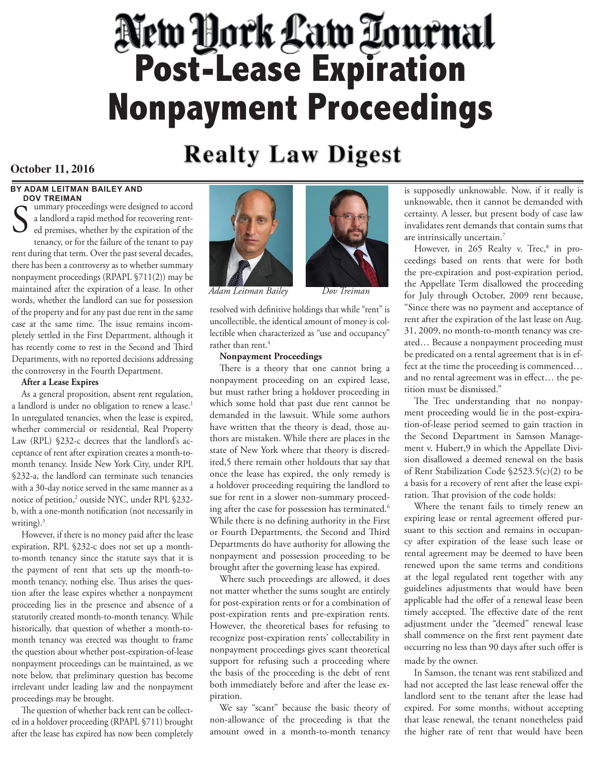# **Post-Lease Expiration Nonpayment Proceedings**

# **Realty Law Digest**

## **October 11, 2016**

#### **BY ADAM LEITMAN BAILEY AND DOV TREIMAN**

ummary proceedings were designed to accord a landlord a rapid method for recovering rented premises, whether by the expiration of the tenancy, or for the failure of the tenant to pay rent during that term. Over the past several decades, there has been a controversy as to whether summary nonpayment proceedings (RPAPL §711(2)) may be maintained after the expiration of a lease. In other words, whether the landlord can sue for possession of the property and for any past due rent in the same case at the same time. The issue remains incompletely settled in the First Department, although it has recently come to rest in the Second and Third Departments, with no reported decisions addressing the controversy in the Fourth Department. S

#### **After a Lease Expires**

As a general proposition, absent rent regulation, a landlord is under no obligation to renew a lease.<sup>1</sup> In unregulated tenancies, when the lease is expired, whether commercial or residential, Real Property Law (RPL) §232-c decrees that the landlord's acceptance of rent after expiration creates a month-tomonth tenancy. Inside New York City, under RPL §232-a, the landlord can terminate such tenancies with a 30-day notice served in the same manner as a notice of petition,<sup>2</sup> outside NYC, under RPL §232b, with a one-month notification (not necessarily in writing). $3$ 

However, if there is no money paid after the lease expiration, RPL §232-c does not set up a monthto-month tenancy since the statute says that it is the payment of rent that sets up the month-tomonth tenancy, nothing else. Thus arises the question after the lease expires whether a nonpayment proceeding lies in the presence and absence of a statutorily created month-to-month tenancy. While historically, that question of whether a month-tomonth tenancy was erected was thought to frame the question about whether post-expiration-of-lease nonpayment proceedings can be maintained, as we note below, that preliminary question has become irrelevant under leading law and the nonpayment proceedings may be brought.

The question of whether back rent can be collected in a holdover proceeding (RPAPL §711) brought after the lease has expired has now been completely





resolved with definitive holdings that while "rent" is uncollectible, the identical amount of money is collectible when characterized as "use and occupancy" rather than rent.<sup>4</sup>

#### **Nonpayment Proceedings**

There is a theory that one cannot bring a nonpayment proceeding on an expired lease, but must rather bring a holdover proceeding in which some hold that past due rent cannot be demanded in the lawsuit. While some authors have written that the theory is dead, those authors are mistaken. While there are places in the state of New York where that theory is discredited,5 there remain other holdouts that say that once the lease has expired, the only remedy is a holdover proceeding requiring the landlord to sue for rent in a slower non-summary proceeding after the case for possession has terminated.<sup>6</sup> While there is no defining authority in the First or Fourth Departments, the Second and Third Departments do have authority for allowing the nonpayment and possession proceeding to be brought after the governing lease has expired.

Where such proceedings are allowed, it does not matter whether the sums sought are entirely for post-expiration rents or for a combination of post-expiration rents and pre-expiration rents. However, the theoretical bases for refusing to recognize post-expiration rents' collectability in nonpayment proceedings gives scant theoretical support for refusing such a proceeding where the basis of the proceeding is the debt of rent both immediately before and after the lease expiration.

We say "scant" because the basic theory of non-allowance of the proceeding is that the amount owed in a month-to-month tenancy

is supposedly unknowable. Now, if it really is unknowable, then it cannot be demanded with certainty. A lesser, but present body of case law invalidates rent demands that contain sums that are intrinsically uncertain.7

However, in 265 Realty v. Trec,<sup>8</sup> in proceedings based on rents that were for both the pre-expiration and post-expiration period, the Appellate Term disallowed the proceeding for July through October, 2009 rent because, "Since there was no payment and acceptance of rent after the expiration of the last lease on Aug. 31, 2009, no month-to-month tenancy was created… Because a nonpayment proceeding must be predicated on a rental agreement that is in effect at the time the proceeding is commenced… and no rental agreement was in effect… the petition must be dismissed."

The Trec understanding that no nonpayment proceeding would lie in the post-expiration-of-lease period seemed to gain traction in the Second Department in Samson Management v. Hubert,9 in which the Appellate Division disallowed a deemed renewal on the basis of Rent Stabilization Code §2523.5(c)(2) to be a basis for a recovery of rent after the lease expiration. That provision of the code holds:

Where the tenant fails to timely renew an expiring lease or rental agreement offered pursuant to this section and remains in occupancy after expiration of the lease such lease or rental agreement may be deemed to have been renewed upon the same terms and conditions at the legal regulated rent together with any guidelines adjustments that would have been applicable had the offer of a renewal lease been timely accepted. The effective date of the rent adjustment under the "deemed" renewal lease shall commence on the first rent payment date occurring no less than 90 days after such offer is made by the owner.

In Samson, the tenant was rent stabilized and had not accepted the last lease renewal offer the landlord sent to the tenant after the lease had expired. For some months, without accepting that lease renewal, the tenant nonetheless paid the higher rate of rent that would have been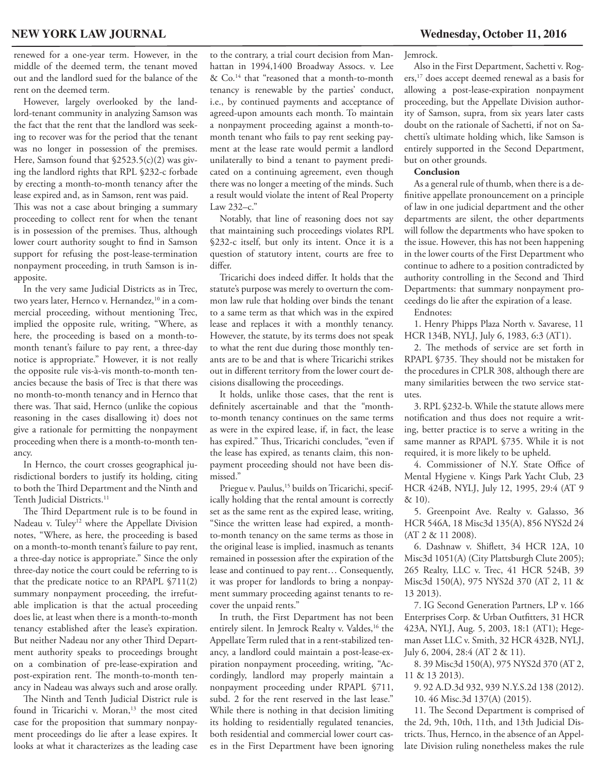renewed for a one-year term. However, in the middle of the deemed term, the tenant moved out and the landlord sued for the balance of the rent on the deemed term.

However, largely overlooked by the landlord-tenant community in analyzing Samson was the fact that the rent that the landlord was seeking to recover was for the period that the tenant was no longer in possession of the premises. Here, Samson found that §2523.5(c)(2) was giving the landlord rights that RPL §232-c forbade by erecting a month-to-month tenancy after the lease expired and, as in Samson, rent was paid. This was not a case about bringing a summary proceeding to collect rent for when the tenant

is in possession of the premises. Thus, although lower court authority sought to find in Samson support for refusing the post-lease-termination nonpayment proceeding, in truth Samson is inapposite.

In the very same Judicial Districts as in Trec, two years later, Hernco v. Hernandez,<sup>10</sup> in a commercial proceeding, without mentioning Trec, implied the opposite rule, writing, "Where, as here, the proceeding is based on a month-tomonth tenant's failure to pay rent, a three-day notice is appropriate." However, it is not really the opposite rule vis-à-vis month-to-month tenancies because the basis of Trec is that there was no month-to-month tenancy and in Hernco that there was. That said, Hernco (unlike the copious reasoning in the cases disallowing it) does not give a rationale for permitting the nonpayment proceeding when there is a month-to-month tenancy.

In Hernco, the court crosses geographical jurisdictional borders to justify its holding, citing to both the Third Department and the Ninth and Tenth Judicial Districts.<sup>11</sup>

The Third Department rule is to be found in Nadeau v. Tuley<sup>12</sup> where the Appellate Division notes, "Where, as here, the proceeding is based on a month-to-month tenant's failure to pay rent, a three-day notice is appropriate." Since the only three-day notice the court could be referring to is that the predicate notice to an RPAPL §711(2) summary nonpayment proceeding, the irrefutable implication is that the actual proceeding does lie, at least when there is a month-to-month tenancy established after the lease's expiration. But neither Nadeau nor any other Third Department authority speaks to proceedings brought on a combination of pre-lease-expiration and post-expiration rent. The month-to-month tenancy in Nadeau was always such and arose orally.

The Ninth and Tenth Judicial District rule is found in Tricarichi v. Moran,<sup>13</sup> the most cited case for the proposition that summary nonpayment proceedings do lie after a lease expires. It looks at what it characterizes as the leading case

to the contrary, a trial court decision from Manhattan in 1994,1400 Broadway Assocs. v. Lee & Co.14 that "reasoned that a month-to-month tenancy is renewable by the parties' conduct, i.e., by continued payments and acceptance of agreed-upon amounts each month. To maintain a nonpayment proceeding against a month-tomonth tenant who fails to pay rent seeking payment at the lease rate would permit a landlord unilaterally to bind a tenant to payment predicated on a continuing agreement, even though there was no longer a meeting of the minds. Such a result would violate the intent of Real Property Law 232–c."

Notably, that line of reasoning does not say that maintaining such proceedings violates RPL §232-c itself, but only its intent. Once it is a question of statutory intent, courts are free to differ.

Tricarichi does indeed differ. It holds that the statute's purpose was merely to overturn the common law rule that holding over binds the tenant to a same term as that which was in the expired lease and replaces it with a monthly tenancy. However, the statute, by its terms does not speak to what the rent due during those monthly tenants are to be and that is where Tricarichi strikes out in different territory from the lower court decisions disallowing the proceedings.

It holds, unlike those cases, that the rent is definitely ascertainable and that the "monthto-month tenancy continues on the same terms as were in the expired lease, if, in fact, the lease has expired." Thus, Tricarichi concludes, "even if the lease has expired, as tenants claim, this nonpayment proceeding should not have been dismissed."

Priegue v. Paulus,<sup>15</sup> builds on Tricarichi, specifically holding that the rental amount is correctly set as the same rent as the expired lease, writing, "Since the written lease had expired, a monthto-month tenancy on the same terms as those in the original lease is implied, inasmuch as tenants remained in possession after the expiration of the lease and continued to pay rent… Consequently, it was proper for landlords to bring a nonpayment summary proceeding against tenants to recover the unpaid rents."

In truth, the First Department has not been entirely silent. In Jemrock Realty v. Valdes,<sup>16</sup> the Appellate Term ruled that in a rent-stabilized tenancy, a landlord could maintain a post-lease-expiration nonpayment proceeding, writing, "Accordingly, landlord may properly maintain a nonpayment proceeding under RPAPL §711, subd. 2 for the rent reserved in the last lease." While there is nothing in that decision limiting its holding to residentially regulated tenancies, both residential and commercial lower court cases in the First Department have been ignoring

Jemrock.

Also in the First Department, Sachetti v. Rogers,17 does accept deemed renewal as a basis for allowing a post-lease-expiration nonpayment proceeding, but the Appellate Division authority of Samson, supra, from six years later casts doubt on the rationale of Sachetti, if not on Sachetti's ultimate holding which, like Samson is entirely supported in the Second Department, but on other grounds.

#### **Conclusion**

As a general rule of thumb, when there is a definitive appellate pronouncement on a principle of law in one judicial department and the other departments are silent, the other departments will follow the departments who have spoken to the issue. However, this has not been happening in the lower courts of the First Department who continue to adhere to a position contradicted by authority controlling in the Second and Third Departments: that summary nonpayment proceedings do lie after the expiration of a lease.

Endnotes:

1. Henry Phipps Plaza North v. Savarese, 11 HCR 134B, NYLJ, July 6, 1983, 6:3 (AT1).

2. The methods of service are set forth in RPAPL §735. They should not be mistaken for the procedures in CPLR 308, although there are many similarities between the two service statutes.

3. RPL §232-b. While the statute allows mere notification and thus does not require a writing, better practice is to serve a writing in the same manner as RPAPL §735. While it is not required, it is more likely to be upheld.

4. Commissioner of N.Y. State Office of Mental Hygiene v. Kings Park Yacht Club, 23 HCR 424B, NYLJ, July 12, 1995, 29:4 (AT 9 & 10).

5. Greenpoint Ave. Realty v. Galasso, 36 HCR 546A, 18 Misc3d 135(A), 856 NYS2d 24 (AT 2 & 11 2008).

6. Dashnaw v. Shiflett, 34 HCR 12A, 10 Misc3d 1051(A) (City Plattsburgh Clute 2005); 265 Realty, LLC v. Trec, 41 HCR 524B, 39 Misc3d 150(A), 975 NYS2d 370 (AT 2, 11 & 13 2013).

7. IG Second Generation Partners, LP v. 166 Enterprises Corp. & Urban Outfitters, 31 HCR 423A, NYLJ, Aug. 5, 2003, 18:1 (AT1); Hegeman Asset LLC v. Smith, 32 HCR 432B, NYLJ, July 6, 2004, 28:4 (AT 2 & 11).

8. 39 Misc3d 150(A), 975 NYS2d 370 (AT 2, 11 & 13 2013).

9. 92 A.D.3d 932, 939 N.Y.S.2d 138 (2012). 10. 46 Misc.3d 137(A) (2015).

11. The Second Department is comprised of the 2d, 9th, 10th, 11th, and 13th Judicial Districts. Thus, Hernco, in the absence of an Appellate Division ruling nonetheless makes the rule